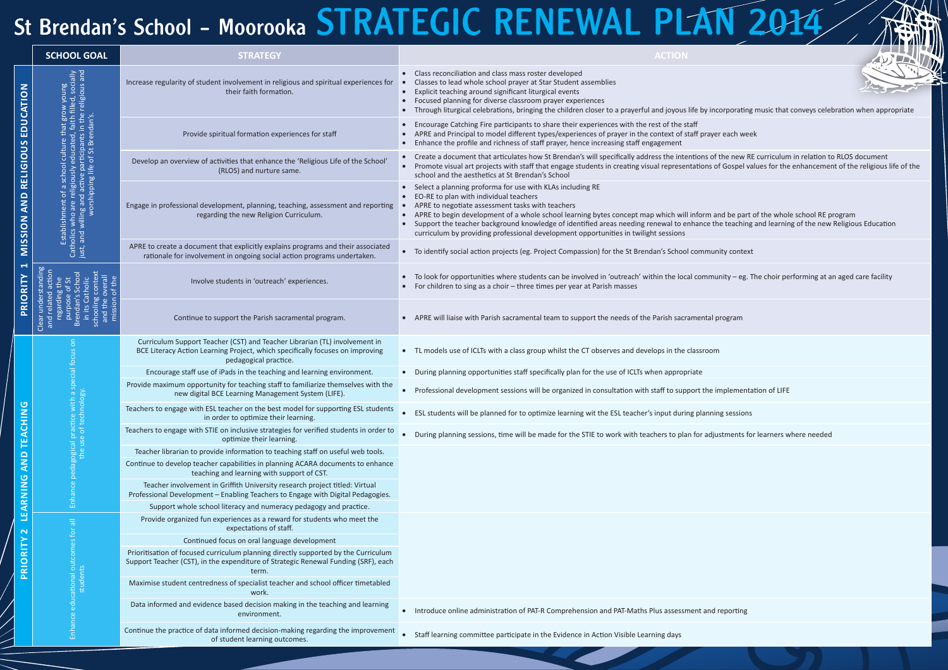## St Brendan's School - Moorooka STRATEGIC RENEWAL PLAN 2014

|                                                                               | <b>SCHOOL GOAL</b> | <b>STRATEGY</b>                                                                                                                                                                      | <b>ACTION</b>                                                                                                                                                                                                                                                                                                                                                                                                                                                                          |
|-------------------------------------------------------------------------------|--------------------|--------------------------------------------------------------------------------------------------------------------------------------------------------------------------------------|----------------------------------------------------------------------------------------------------------------------------------------------------------------------------------------------------------------------------------------------------------------------------------------------------------------------------------------------------------------------------------------------------------------------------------------------------------------------------------------|
| RELIGIOUS EDUCATION<br><b>MISSION AND</b><br>$\blacktriangledown$<br>PRIORITY |                    | Increase regularity of student involvement in religious and spiritual experiences for<br>their faith formation.                                                                      | Class reconciliation and class mass roster developed<br>Classes to lead whole school prayer at Star Student assemblies<br>Explicit teaching around significant liturgical events<br>$\bullet$<br>Focused planning for diverse classroom prayer experiences<br>Through liturgical celebrations, bringing the children closer to a prayerful and joyous life by incorporating music that                                                                                                 |
|                                                                               |                    | Provide spiritual formation experiences for staff                                                                                                                                    | Encourage Catching Fire participants to share their experiences with the rest of the staff<br>APRE and Principal to model different types/experiences of prayer in the context of staff prayer each week<br>Enhance the profile and richness of staff prayer, hence increasing staff engagement                                                                                                                                                                                        |
|                                                                               |                    | Develop an overview of activities that enhance the 'Religious Life of the School'<br>(RLOS) and nurture same.                                                                        | Create a document that articulates how St Brendan's will specifically address the intentions of the new RE curriculun<br>Promote visual art projects with staff that engage students in creating visual representations of Gospel values for the<br>school and the aesthetics at St Brendan's School                                                                                                                                                                                   |
|                                                                               |                    | Engage in professional development, planning, teaching, assessment and reporting<br>regarding the new Religion Curriculum.                                                           | Select a planning proforma for use with KLAs including RE<br>EO-RE to plan with individual teachers<br>APRE to negotiate assessment tasks with teachers<br>APRE to begin development of a whole school learning bytes concept map which will inform and be part of the whol<br>Support the teacher background knowledge of identified areas needing renewal to enhance the teaching and learnir<br>curriculum by providing professional development opportunities in twilight sessions |
|                                                                               |                    | APRE to create a document that explicitly explains programs and their associated<br>rationale for involvement in ongoing social action programs undertaken.                          | To identify social action projects (eg. Project Compassion) for the St Brendan's School community context                                                                                                                                                                                                                                                                                                                                                                              |
|                                                                               |                    | Involve students in 'outreach' experiences.                                                                                                                                          | To look for opportunities where students can be involved in 'outreach' within the local community $-$ eg. The choir pe<br>For children to sing as a choir - three times per year at Parish masses                                                                                                                                                                                                                                                                                      |
|                                                                               |                    | Continue to support the Parish sacramental program.                                                                                                                                  | APRE will liaise with Parish sacramental team to support the needs of the Parish sacramental program                                                                                                                                                                                                                                                                                                                                                                                   |
|                                                                               |                    | Curriculum Support Teacher (CST) and Teacher Librarian (TL) involvement in<br>BCE Literacy Action Learning Project, which specifically focuses on improving<br>pedagogical practice. | • TL models use of ICLTs with a class group whilst the CT observes and develops in the classroom                                                                                                                                                                                                                                                                                                                                                                                       |
| TEACHING<br><b>AND</b><br>LEARNING<br>$\mathbf{\Omega}$                       |                    | Encourage staff use of iPads in the teaching and learning environment.                                                                                                               | During planning opportunities staff specifically plan for the use of ICLTs when appropriate                                                                                                                                                                                                                                                                                                                                                                                            |
|                                                                               |                    | Provide maximum opportunity for teaching staff to familiarize themselves with the<br>new digital BCE Learning Management System (LIFE).                                              | Professional development sessions will be organized in consultation with staff to support the implementation of LIFE<br>$\bullet$                                                                                                                                                                                                                                                                                                                                                      |
|                                                                               |                    | Teachers to engage with ESL teacher on the best model for supporting ESL students<br>in order to optimize their learning.                                                            | ESL students will be planned for to optimize learning wit the ESL teacher's input during planning sessions                                                                                                                                                                                                                                                                                                                                                                             |
|                                                                               |                    | Teachers to engage with STIE on inclusive strategies for verified students in order to<br>optimize their learning.                                                                   | During planning sessions, time will be made for the STIE to work with teachers to plan for adjustments for learners v                                                                                                                                                                                                                                                                                                                                                                  |
|                                                                               |                    | Teacher librarian to provide information to teaching staff on useful web tools.                                                                                                      |                                                                                                                                                                                                                                                                                                                                                                                                                                                                                        |
|                                                                               |                    | Continue to develop teacher capabilities in planning ACARA documents to enhance<br>teaching and learning with support of CST.                                                        |                                                                                                                                                                                                                                                                                                                                                                                                                                                                                        |
|                                                                               |                    | Teacher involvement in Griffith University research project titled: Virtual<br>Professional Development - Enabling Teachers to Engage with Digital Pedagogies.                       |                                                                                                                                                                                                                                                                                                                                                                                                                                                                                        |
|                                                                               |                    | Support whole school literacy and numeracy pedagogy and practice.                                                                                                                    |                                                                                                                                                                                                                                                                                                                                                                                                                                                                                        |
|                                                                               | 局                  | Provide organized fun experiences as a reward for students who meet the<br>expectations of staff.                                                                                    |                                                                                                                                                                                                                                                                                                                                                                                                                                                                                        |
|                                                                               |                    | Continued focus on oral language development                                                                                                                                         |                                                                                                                                                                                                                                                                                                                                                                                                                                                                                        |
| PRIORITY                                                                      |                    | Prioritisation of focused curriculum planning directly supported by the Curriculum<br>Support Teacher (CST), in the expenditure of Strategic Renewal Funding (SRF), each<br>term.    |                                                                                                                                                                                                                                                                                                                                                                                                                                                                                        |
|                                                                               |                    | Maximise student centredness of specialist teacher and school officer timetabled<br>work.                                                                                            |                                                                                                                                                                                                                                                                                                                                                                                                                                                                                        |
|                                                                               |                    | Data informed and evidence based decision making in the teaching and learning<br>environment.                                                                                        | Introduce online administration of PAT-R Comprehension and PAT-Maths Plus assessment and reporting                                                                                                                                                                                                                                                                                                                                                                                     |
|                                                                               |                    | Continue the practice of data informed decision-making regarding the improvement<br>of student learning outcomes.                                                                    | Staff learning committee participate in the Evidence in Action Visible Learning days                                                                                                                                                                                                                                                                                                                                                                                                   |



corporating music that conveys celebration when appropriate

the new RE curriculum in relation to RLOS documentions the new RE curriculum in relation to RLOS document of Gospel values for the enhancement of the religious life of the

nd be part of the whole school RE program he teaching and learning of the new Religious Education

 $\mathsf{unity}\,$  eg. The choir performing at an aged care facility

astments for learners where needed